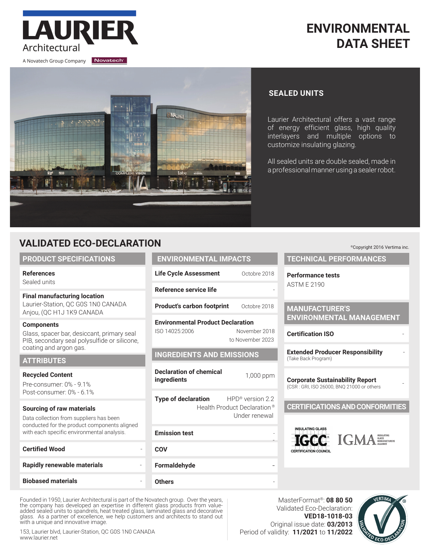

# **ENVIRONMENTAL DATA SHEET**



## **SEALED UNITS**

Laurier Architectural offers a vast range of energy efficient glass, high quality interlayers and multiple options to customize insulating glazing.

All sealed units are double sealed, made in a professional manner using a sealer robot.

## **VALIDATED ECO-DECLARATION**

#### **PRODUCT SPECIFICATIONS**

**References**

Sealed units

### **Final manufacturing location** Laurier-Station, QC G0S 1N0 CANADA

Anjou, (QC H1J 1K9 CANADA

#### **Components**

Glass, spacer bar, desiccant, primary seal PIB, secondary seal polysulfide or silicone, coating and argon gas.

#### **ATTRIBUTES**

#### **Recycled Content**

Pre-consumer: 0% - 9.1% Post-consumer: 0% - 6.1%

#### **Sourcing of raw materials**

Data collection from suppliers has been conducted for the product components aligned with each specific environmental analysis.

| <b>Certified Wood</b>       |  |
|-----------------------------|--|
| Rapidly renewable materials |  |
| <b>Biobased materials</b>   |  |

| N                                        |               |  |  |  |
|------------------------------------------|---------------|--|--|--|
| <b>ENVIRONMENTAL IMPACTS</b>             |               |  |  |  |
| <b>Life Cycle Assessment</b>             | Octobre 2018  |  |  |  |
| Reference service life                   |               |  |  |  |
| <b>Product's carbon footprint</b>        | Octobre 2018  |  |  |  |
| <b>Environmental Product Declaration</b> |               |  |  |  |
| ISO 14025:2006                           | November 2018 |  |  |  |

to November 2023

#### **INGREDIENTS AND EMISSIONS**

**Declaration of chemical ingredients internet interval** 1,000 ppm

**Type of declaration** HPD<sup>®</sup> version 2.2 Health Product Declaration ® Under renewal

**Emission test** 

```
COV
```
**Formaldehyde** 

**Others** -

-

**IGCC** IGMA **Corporate Sustainability Report** (CSR : GRI, ISO 26000, BNQ 21000 or others -

Founded in 1950, Laurier Architectural is part of the Novatech group. Over the years, the company has developed an expertise in different glass products from valueadded sealed units to spandrels, heat treated glass, laminated glass and decorative glass. As a partner of excellence, we help customers and architects to stand out with a unique and innovative image.

153, Laurier blvd, Laurier-Station, QC G0S 1N0 CANADA www.laurier.net

Validated Eco-Declaration: **VED18-1018-03** Original issue date: **03/2013** Period of validity: **11/2021** to **11/2022**



©Copyright 2016 Vertima inc.

**TECHNICAL PERFORMANCES**

**Performance tests** ASTM E 2190

#### **MANUFACTURER'S ENVIRONMENTAL MANAGEMENT**

**Certification ISO** -

**Extended Producer Responsibility** - (Take Back Program)

## **CERTIFICATIONS AND CONFORMITIES**